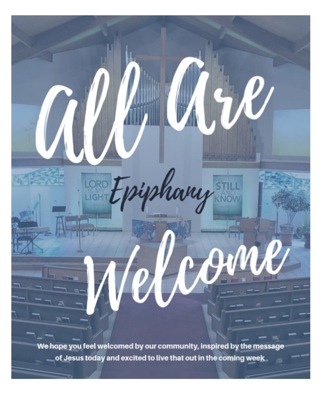We hope you feel welcomed by our community, inspired by the message of Jesus today and excited to live that out in the coming week

shary

LORD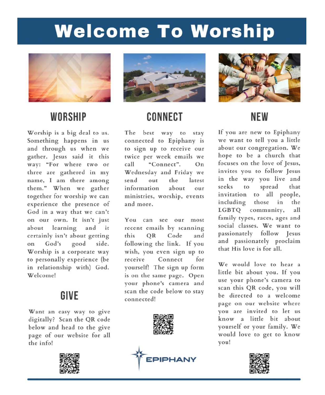# **Welcome To Worship**



### **WORSHIP**

Worship is a big deal to us. Something happens in us and through us when we gather. Jesus said it this way: "For where two or three are gathered in my name, I am there among them." When we gather together for worship we can experience the presence of God in a way that we can't on our own. It isn't just about learning and it certainly isn't about getting God's good side. on Worship is a corporate way to personally experience (be in relationship with) God. Welcomel

#### GIVE

Want an easy way to give digitally? Scan the QR code below and head to the give page of our website for all the info!





# **CONNECT**

The best way to stay connected to Epiphany is to sign up to receive our twice per week emails we  $call$ "Connect".  $On$ Wednesday and Friday we send  $_{\text{out}}$ the latest information about  $_{\text{our}}$ ministries, worship, events and more.

You can see our most recent emails by scanning OR Code this and following the link. If you wish, you even sign up to Connect receive for yourself! The sign up form is on the same page. Open your phone's camera and scan the code below to stay connected!







# **NFW**

If you are new to Epiphany we want to tell you a little about our congregation. We hope to be a church that focuses on the love of Jesus, invites you to follow Jesus in the way you live and seeks spread that  $\mathbf{t}$ invitation to all people. those including  $in$ the LGBTQ community, all family types, races, ages and social classes. We want to passionately follow Jesus and passionately proclaim that His love is for all.

We would love to hear a little bit about you. If you use your phone's camera to scan this QR code, you will be directed to a welcome page on our website where you are invited to let us know a little bit about yourself or your family. We would love to get to know vou!

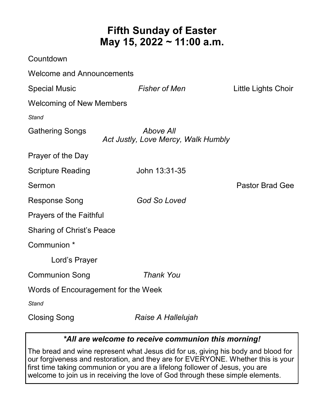### **Fifth Sunday of Easter May 15, 2022 ~ 11:00 a.m.**

| Countdown                           |                                                  |                        |
|-------------------------------------|--------------------------------------------------|------------------------|
| <b>Welcome and Announcements</b>    |                                                  |                        |
| <b>Special Music</b>                | <b>Fisher of Men</b>                             | Little Lights Choir    |
| <b>Welcoming of New Members</b>     |                                                  |                        |
| Stand                               |                                                  |                        |
| <b>Gathering Songs</b>              | Above All<br>Act Justly, Love Mercy, Walk Humbly |                        |
| Prayer of the Day                   |                                                  |                        |
| <b>Scripture Reading</b>            | John 13:31-35                                    |                        |
| Sermon                              |                                                  | <b>Pastor Brad Gee</b> |
| <b>Response Song</b>                | <b>God So Loved</b>                              |                        |
| Prayers of the Faithful             |                                                  |                        |
| <b>Sharing of Christ's Peace</b>    |                                                  |                        |
| Communion *                         |                                                  |                        |
| Lord's Prayer                       |                                                  |                        |
| <b>Communion Song</b>               | <b>Thank You</b>                                 |                        |
| Words of Encouragement for the Week |                                                  |                        |
| Stand                               |                                                  |                        |
| <b>Closing Song</b>                 | Raise A Hallelujah                               |                        |

#### *\*All are welcome to receive communion this morning!*

The bread and wine represent what Jesus did for us, giving his body and blood for our forgiveness and restoration, and they are for EVERYONE. Whether this is your first time taking communion or you are a lifelong follower of Jesus, you are welcome to join us in receiving the love of God through these simple elements.